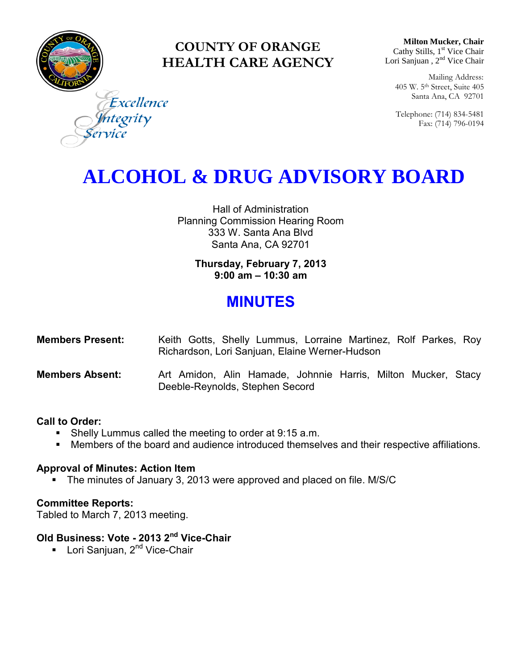

### **COUNTY OF ORANGE HEALTH CARE AGENCY**

**Milton Mucker, Chair** Cathy Stills, 1<sup>st</sup> Vice Chair Lori Sanjuan, 2<sup>nd</sup> Vice Chair

Mailing Address: 405 W. 5th Street, Suite 405 Santa Ana, CA 92701

Telephone: (714) 834-5481 Fax: (714) 796-0194

Excellence tegrity

# **ALCOHOL & DRUG ADVISORY BOARD**

Hall of Administration Planning Commission Hearing Room 333 W. Santa Ana Blvd Santa Ana, CA 92701

> **Thursday, February 7, 2013 9:00 am – 10:30 am**

## **MINUTES**

| <b>Members Present:</b> | Keith Gotts, Shelly Lummus, Lorraine Martinez, Rolf Parkes, Roy |  |  |  |  |  |
|-------------------------|-----------------------------------------------------------------|--|--|--|--|--|
|                         | Richardson, Lori Sanjuan, Elaine Werner-Hudson                  |  |  |  |  |  |
| Mombore Abeont          | Art Amidon, Alin Hamade, Johnnie Harrie, Milton Mucker, Stacy   |  |  |  |  |  |

#### **Members Absent:** Art Amidon, Alin Hamade, Johnnie Harris, Milton Mucker, Stacy Deeble-Reynolds, Stephen Secord

#### **Call to Order:**

- **Shelly Lummus called the meeting to order at 9:15 a.m.**
- Members of the board and audience introduced themselves and their respective affiliations.

#### **Approval of Minutes: Action Item**

• The minutes of January 3, 2013 were approved and placed on file. M/S/C

#### **Committee Reports:**

Tabled to March 7, 2013 meeting.

#### **Old Business: Vote - 2013 2nd Vice-Chair**

■ Lori Sanjuan, 2<sup>nd</sup> Vice-Chair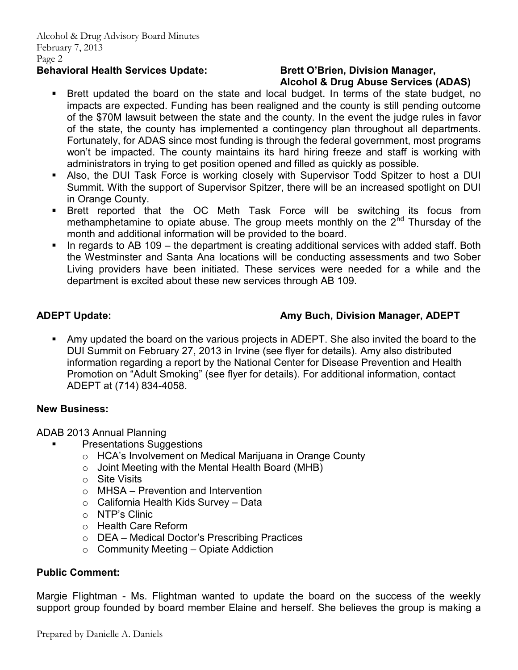#### Behavioral Health Services Update: Brett O'Brien, Division Manager,

# **Alcohol & Drug Abuse Services (ADAS)**

- Brett updated the board on the state and local budget. In terms of the state budget, no impacts are expected. Funding has been realigned and the county is still pending outcome of the \$70M lawsuit between the state and the county. In the event the judge rules in favor of the state, the county has implemented a contingency plan throughout all departments. Fortunately, for ADAS since most funding is through the federal government, most programs won't be impacted. The county maintains its hard hiring freeze and staff is working with administrators in trying to get position opened and filled as quickly as possible.
- Also, the DUI Task Force is working closely with Supervisor Todd Spitzer to host a DUI Summit. With the support of Supervisor Spitzer, there will be an increased spotlight on DUI in Orange County.
- Brett reported that the OC Meth Task Force will be switching its focus from methamphetamine to opiate abuse. The group meets monthly on the  $2<sup>nd</sup>$  Thursday of the month and additional information will be provided to the board.
- In regards to AB 109 the department is creating additional services with added staff. Both the Westminster and Santa Ana locations will be conducting assessments and two Sober Living providers have been initiated. These services were needed for a while and the department is excited about these new services through AB 109.

### **ADEPT Update: Amy Buch, Division Manager, ADEPT**

 Amy updated the board on the various projects in ADEPT. She also invited the board to the DUI Summit on February 27, 2013 in Irvine (see flyer for details). Amy also distributed information regarding a report by the National Center for Disease Prevention and Health Promotion on "Adult Smoking" (see flyer for details). For additional information, contact ADEPT at (714) 834-4058.

#### **New Business:**

ADAB 2013 Annual Planning

- Presentations Suggestions
	- o HCA's Involvement on Medical Marijuana in Orange County
	- $\circ$  Joint Meeting with the Mental Health Board (MHB)
	- o Site Visits
	- o MHSA Prevention and Intervention
	- $\circ$  California Health Kids Survey Data
	- o NTP's Clinic
	- o Health Care Reform
	- o DEA Medical Doctor's Prescribing Practices
	- $\circ$  Community Meeting Opiate Addiction

#### **Public Comment:**

Margie Flightman - Ms. Flightman wanted to update the board on the success of the weekly support group founded by board member Elaine and herself. She believes the group is making a